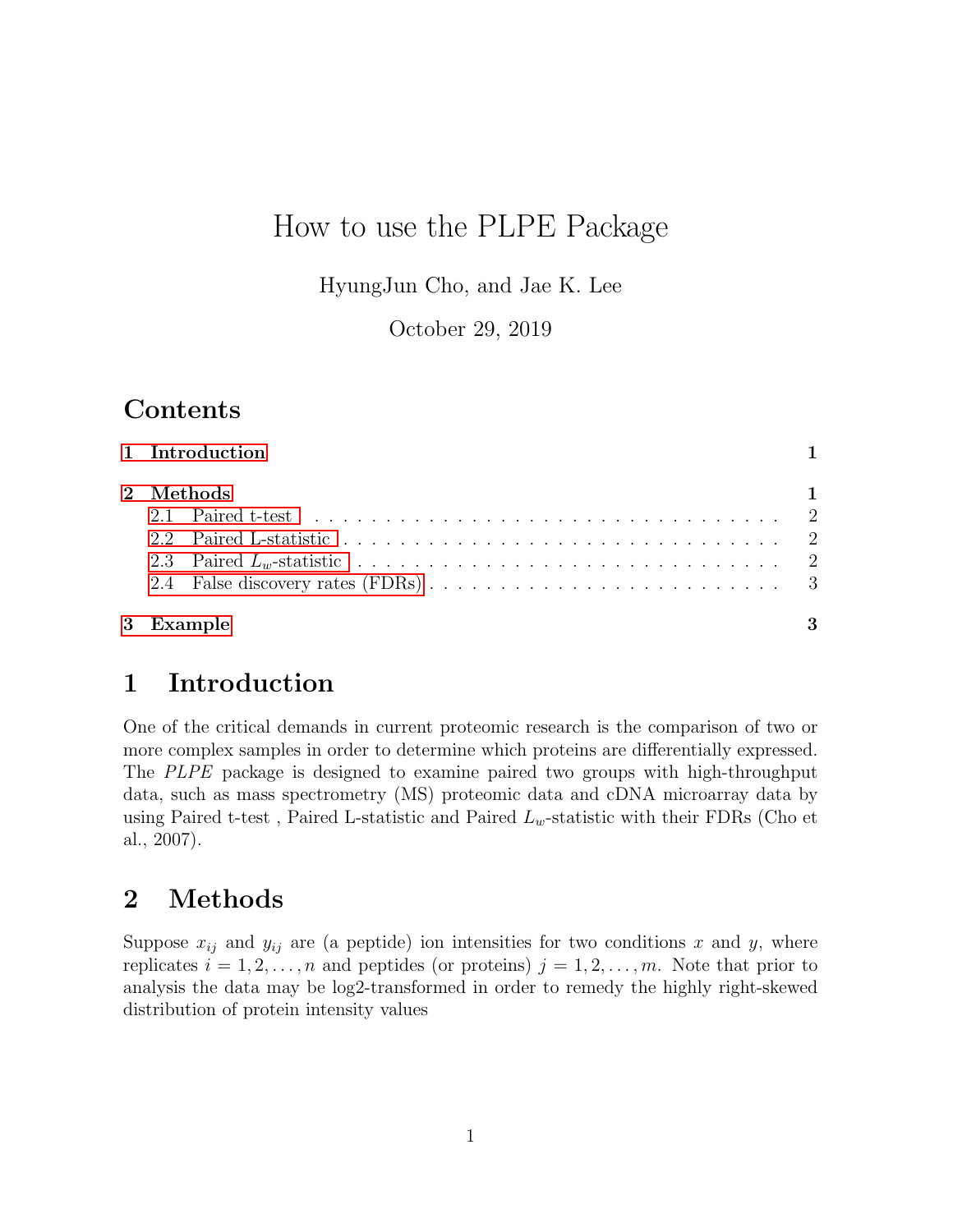# How to use the PLPE Package

HyungJun Cho, and Jae K. Lee

October 29, 2019

## **Contents**

| 1 Introduction |    |
|----------------|----|
| 2 Methods      |    |
| 3 Example      | -3 |

## <span id="page-0-0"></span>1 Introduction

One of the critical demands in current proteomic research is the comparison of two or more complex samples in order to determine which proteins are differentially expressed. The PLPE package is designed to examine paired two groups with high-throughput data, such as mass spectrometry (MS) proteomic data and cDNA microarray data by using Paired t-test, Paired L-statistic and Paired  $L_w$ -statistic with their FDRs (Cho et al., 2007).

# <span id="page-0-1"></span>2 Methods

Suppose  $x_{ij}$  and  $y_{ij}$  are (a peptide) ion intensities for two conditions x and y, where replicates  $i = 1, 2, \ldots, n$  and peptides (or proteins)  $j = 1, 2, \ldots, m$ . Note that prior to analysis the data may be log2-transformed in order to remedy the highly right-skewed distribution of protein intensity values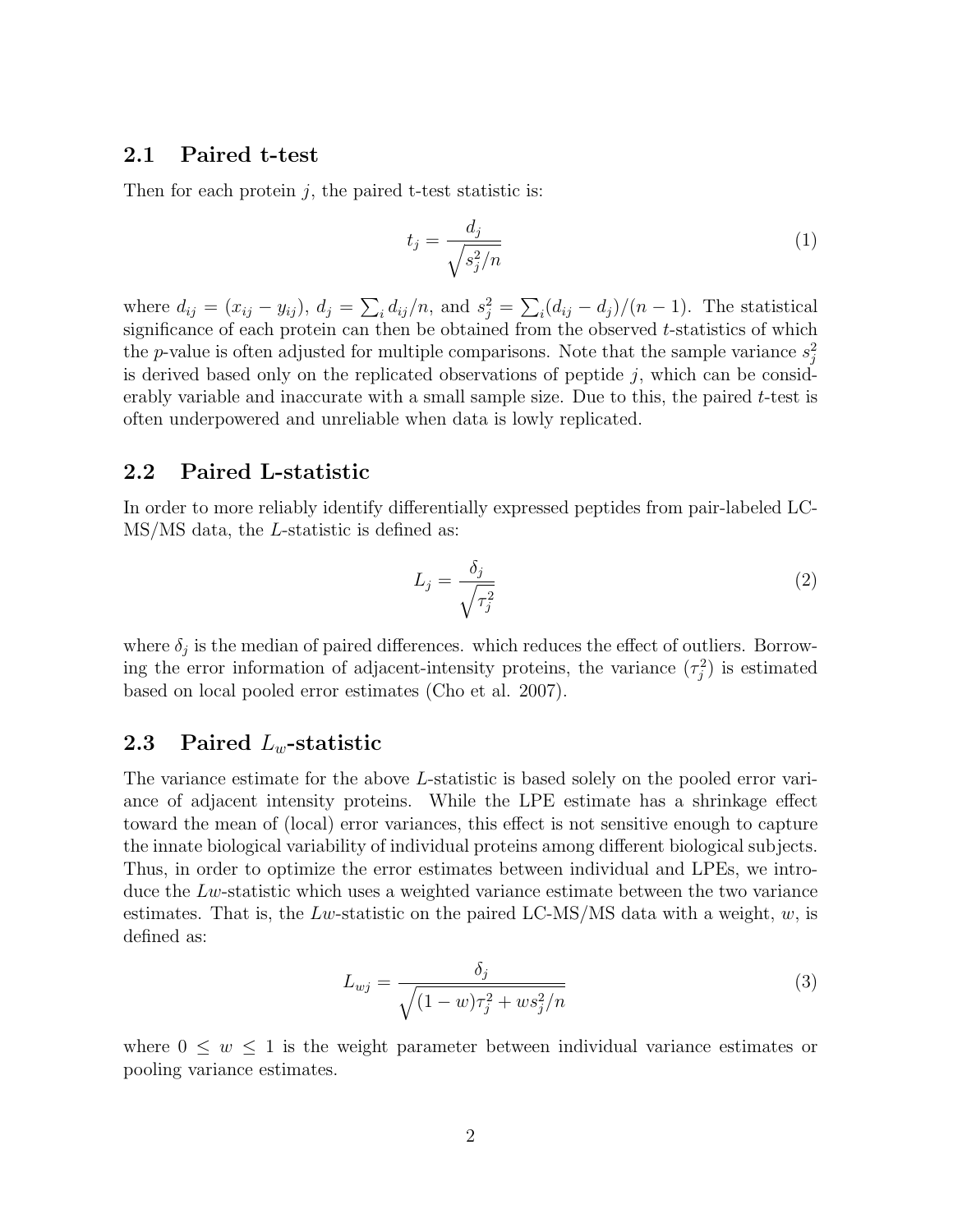#### <span id="page-1-0"></span>2.1 Paired t-test

Then for each protein  $j$ , the paired t-test statistic is:

$$
t_j = \frac{d_j}{\sqrt{s_j^2/n}}\tag{1}
$$

where  $d_{ij} = (x_{ij} - y_{ij}), d_j = \sum_i d_{ij}/n$ , and  $s_j^2 = \sum_i (d_{ij} - d_j)/(n-1)$ . The statistical significance of each protein can then be obtained from the observed t-statistics of which the p-value is often adjusted for multiple comparisons. Note that the sample variance  $s_j^2$ is derived based only on the replicated observations of peptide  $j$ , which can be considerably variable and inaccurate with a small sample size. Due to this, the paired t-test is often underpowered and unreliable when data is lowly replicated.

### <span id="page-1-1"></span>2.2 Paired L-statistic

In order to more reliably identify differentially expressed peptides from pair-labeled LC-MS/MS data, the L-statistic is defined as:

$$
L_j = \frac{\delta_j}{\sqrt{\tau_j^2}}\tag{2}
$$

where  $\delta_j$  is the median of paired differences. which reduces the effect of outliers. Borrowing the error information of adjacent-intensity proteins, the variance  $(\tau_j^2)$  is estimated based on local pooled error estimates (Cho et al. 2007).

### <span id="page-1-2"></span>2.3 Paired  $L_w$ -statistic

The variance estimate for the above L-statistic is based solely on the pooled error variance of adjacent intensity proteins. While the LPE estimate has a shrinkage effect toward the mean of (local) error variances, this effect is not sensitive enough to capture the innate biological variability of individual proteins among different biological subjects. Thus, in order to optimize the error estimates between individual and LPEs, we introduce the  $Lw$ -statistic which uses a weighted variance estimate between the two variance estimates. That is, the Lw-statistic on the paired LC-MS/MS data with a weight,  $w$ , is defined as:

$$
L_{wj} = \frac{\delta_j}{\sqrt{(1 - w)\tau_j^2 + ws_j^2/n}}
$$
\n(3)

where  $0 \leq w \leq 1$  is the weight parameter between individual variance estimates or pooling variance estimates.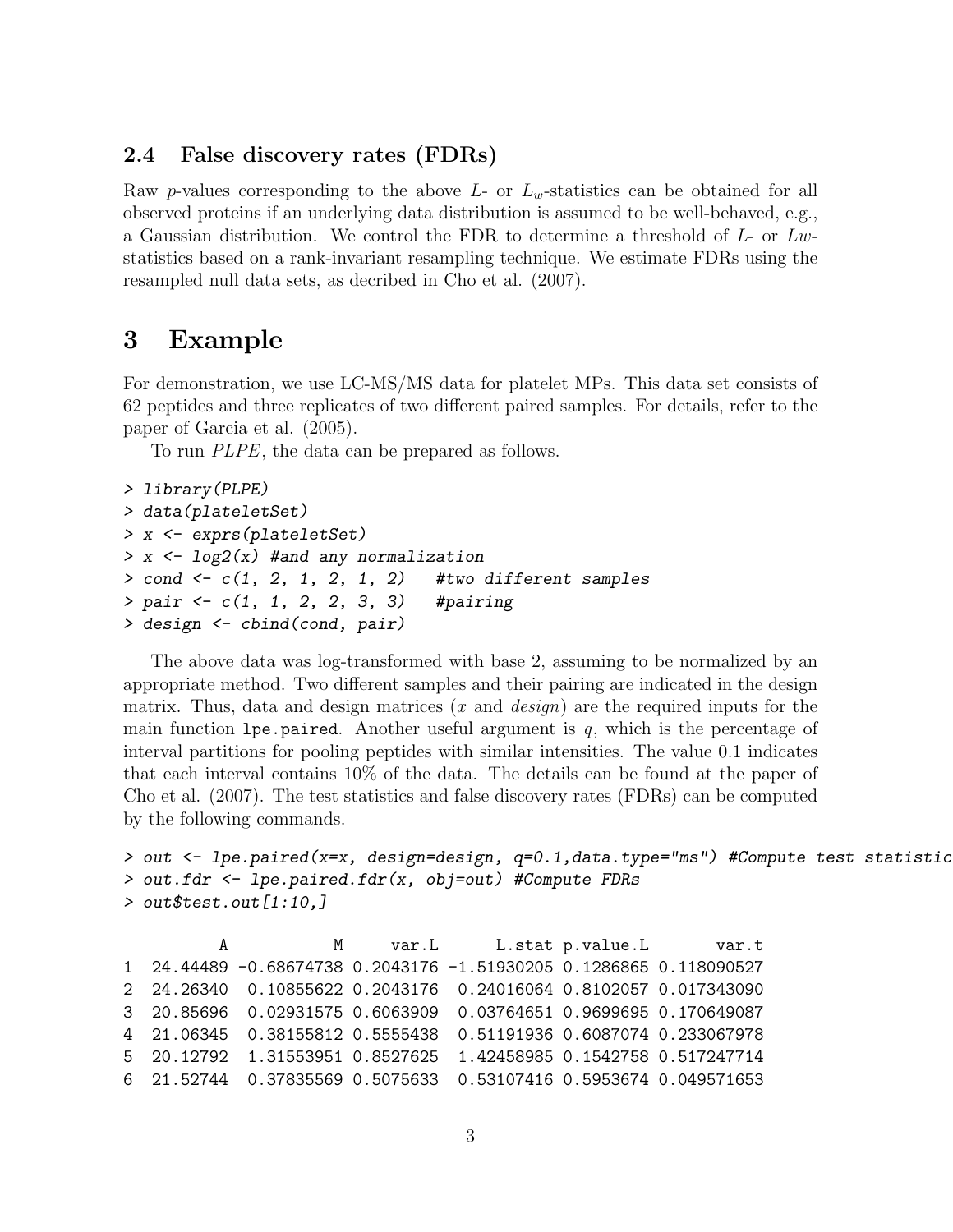#### <span id="page-2-0"></span>2.4 False discovery rates (FDRs)

Raw p-values corresponding to the above  $L$ - or  $L_w$ -statistics can be obtained for all observed proteins if an underlying data distribution is assumed to be well-behaved, e.g., a Gaussian distribution. We control the FDR to determine a threshold of  $L$ - or  $Lw$ statistics based on a rank-invariant resampling technique. We estimate FDRs using the resampled null data sets, as decribed in Cho et al. (2007).

## <span id="page-2-1"></span>3 Example

For demonstration, we use LC-MS/MS data for platelet MPs. This data set consists of 62 peptides and three replicates of two different paired samples. For details, refer to the paper of Garcia et al. (2005).

To run PLPE, the data can be prepared as follows.

```
> library(PLPE)
> data(plateletSet)
> x <- exprs(plateletSet)
> x < -log2(x) #and any normalization
> cond <- c(1, 2, 1, 2, 1, 2) #two different samples
> pair <- c(1, 1, 2, 2, 3, 3) #pairing
> design <- cbind(cond, pair)
```
The above data was log-transformed with base 2, assuming to be normalized by an appropriate method. Two different samples and their pairing are indicated in the design matrix. Thus, data and design matrices  $(x \text{ and } design)$  are the required inputs for the main function lpe.paired. Another useful argument is  $q$ , which is the percentage of interval partitions for pooling peptides with similar intensities. The value 0.1 indicates that each interval contains 10% of the data. The details can be found at the paper of Cho et al. (2007). The test statistics and false discovery rates (FDRs) can be computed by the following commands.

```
> out <- lpe.paired(x=x, design=design, q=0.1,data.type="ms") #Compute test statistic
> out.fdr <- lpe.paired.fdr(x, obj=out) #Compute FDRs
> out$test.out[1:10,]
```
A M var.L L.stat p.value.L var.t 1 24.44489 -0.68674738 0.2043176 -1.51930205 0.1286865 0.118090527 2 24.26340 0.10855622 0.2043176 0.24016064 0.8102057 0.017343090 3 20.85696 0.02931575 0.6063909 0.03764651 0.9699695 0.170649087 4 21.06345 0.38155812 0.5555438 0.51191936 0.6087074 0.233067978 5 20.12792 1.31553951 0.8527625 1.42458985 0.1542758 0.517247714 6 21.52744 0.37835569 0.5075633 0.53107416 0.5953674 0.049571653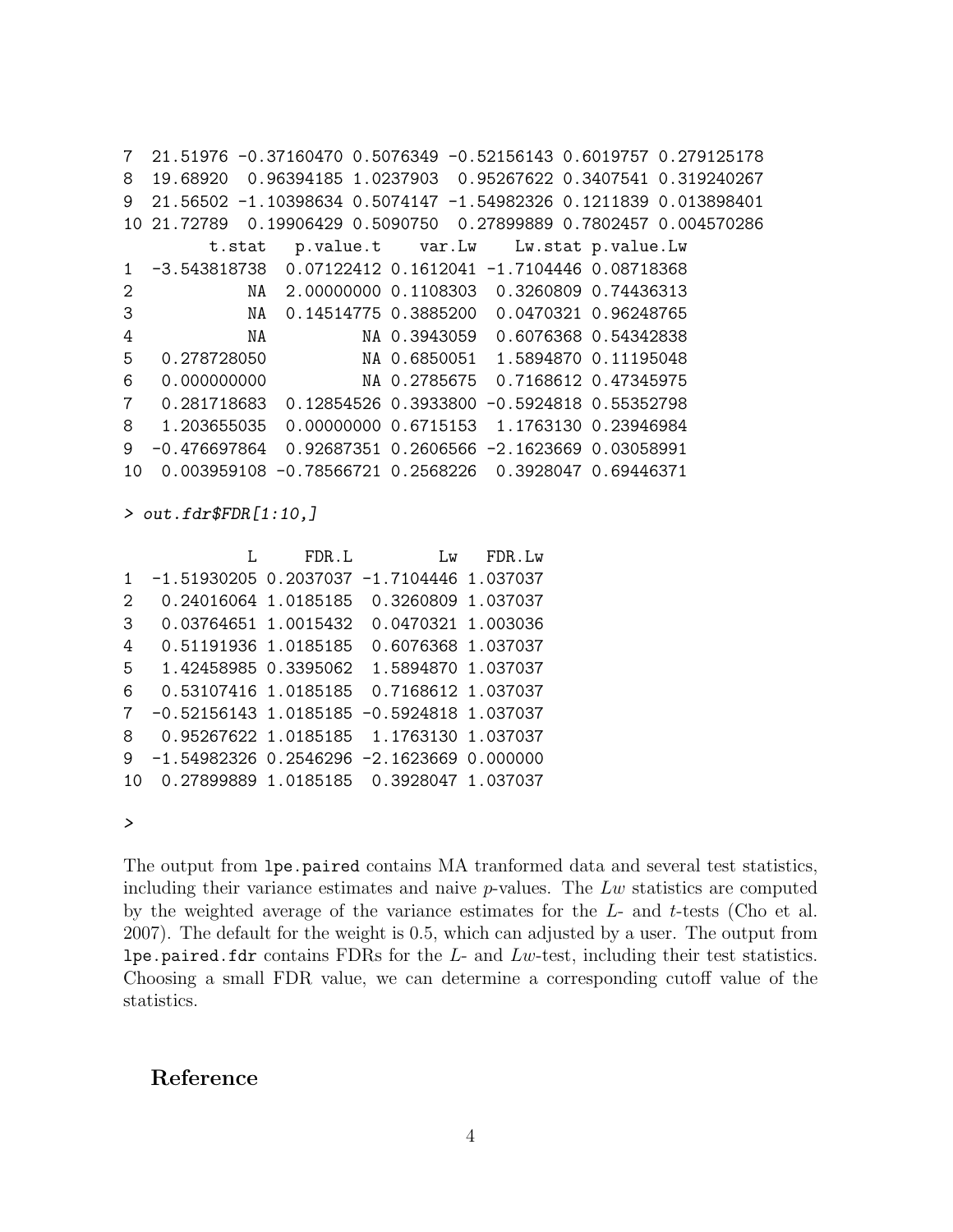7 21.51976 -0.37160470 0.5076349 -0.52156143 0.6019757 0.279125178 8 19.68920 0.96394185 1.0237903 0.95267622 0.3407541 0.319240267 9 21.56502 -1.10398634 0.5074147 -1.54982326 0.1211839 0.013898401 10 21.72789 0.19906429 0.5090750 0.27899889 0.7802457 0.004570286 t.stat p.value.t var.Lw Lw.stat p.value.Lw 1 -3.543818738 0.07122412 0.1612041 -1.7104446 0.08718368 2 NA 2.00000000 0.1108303 0.3260809 0.74436313 3 NA 0.14514775 0.3885200 0.0470321 0.96248765 4 NA NA 0.3943059 0.6076368 0.54342838 5 0.278728050 NA 0.6850051 1.5894870 0.11195048 6 0.000000000 NA 0.2785675 0.7168612 0.47345975 7 0.281718683 0.12854526 0.3933800 -0.5924818 0.55352798 8 1.203655035 0.00000000 0.6715153 1.1763130 0.23946984 9 -0.476697864 0.92687351 0.2606566 -2.1623669 0.03058991 10 0.003959108 -0.78566721 0.2568226 0.3928047 0.69446371

> out.fdr\$FDR[1:10,]

| FDR.L | Lw                                                                                                                                              | FDR.Lw                                                                                                                                                         |
|-------|-------------------------------------------------------------------------------------------------------------------------------------------------|----------------------------------------------------------------------------------------------------------------------------------------------------------------|
|       | $-1.7104446$ 1.037037                                                                                                                           |                                                                                                                                                                |
|       | 0.3260809 1.037037                                                                                                                              |                                                                                                                                                                |
|       | 0.0470321 1.003036                                                                                                                              |                                                                                                                                                                |
|       | 0.6076368 1.037037                                                                                                                              |                                                                                                                                                                |
|       | 1.5894870 1.037037                                                                                                                              |                                                                                                                                                                |
|       | 0.7168612 1.037037                                                                                                                              |                                                                                                                                                                |
|       | $-0.5924818$ 1.037037                                                                                                                           |                                                                                                                                                                |
|       |                                                                                                                                                 |                                                                                                                                                                |
|       |                                                                                                                                                 |                                                                                                                                                                |
|       |                                                                                                                                                 |                                                                                                                                                                |
|       | 0.24016064 1.0185185<br>0.03764651 1.0015432<br>0.51191936 1.0185185<br>1.42458985 0.3395062<br>0.53107416 1.0185185<br>$-0.52156143$ 1.0185185 | $-1.51930205$ 0.2037037<br>0.95267622 1.0185185 1.1763130 1.037037<br>$-1.54982326$ 0.2546296 $-2.1623669$ 0.000000<br>0.27899889 1.0185185 0.3928047 1.037037 |

>

The output from lpe.paired contains MA tranformed data and several test statistics, including their variance estimates and naive  $p$ -values. The  $Lw$  statistics are computed by the weighted average of the variance estimates for the L- and t-tests (Cho et al. 2007). The default for the weight is 0.5, which can adjusted by a user. The output from lpe.paired.fdr contains FDRs for the  $L$ - and  $Lw$ -test, including their test statistics. Choosing a small FDR value, we can determine a corresponding cutoff value of the statistics.

### Reference